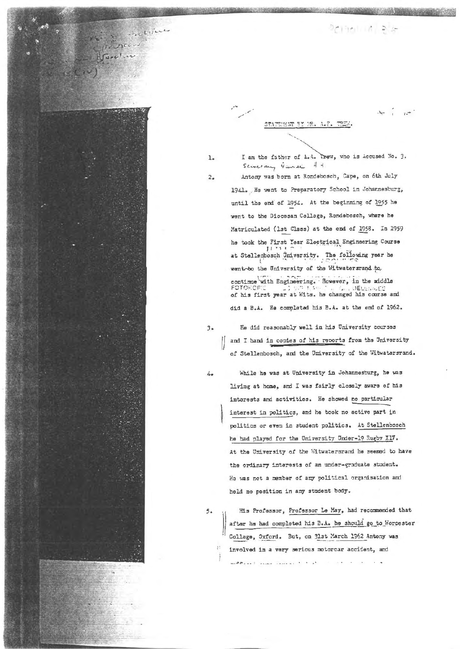aciani a s

STATEMENT BY MR. A.F. TREW.

 $7x^{\frac{1}{2}}$ 

 $\mathbf{1}$ 

 $2.$ 

meline

Scinerary Giurei At Antony was born at Rondebosch, Cape, on 6th July 1941. He went to Preparatory School in Johannesburg, until the end of 1954. At the beginning of 1955 he went to the Diocesan College, Rondebosch, where he Matriculated (1st Class) at the end of 1958. In 1959 he took the First Tear Electrical Engineering Course at Stellenbosch University. The following year he wento the University of the Witwatersrand to, continue with Engineering. Rowever, in the middle<br>FOTORCFE 2008 A STAR DELEGATE of his first year at Wits. he changed his course and

I am the father of A.A. Trew, who is Accused No. 3.

did a B.A. He completed his B.A. at the end of 1962.

 $3 -$ 

 $\Delta$ 

He did reasonably well in his University courses | and I hand in copies of his reports from the University of Stellenbosch, and the University of the Witwatersrand.

While he was at University in Johannesburg, he was living at home, and I was fairly closely aware of his interests and activities. He showed no particular interest in politics, and he took no active part in politics or even in student politics. At Stellenbosch he had played for the University Under-19 Rugby X17. At the University of the Witwatersrand he seemed to have the ordinary interests of an under-graduate student. He was not a member of any political organisation and held no position in any student body.

 $5 -$ 

His Professor, Professor Le May, had recommended that after he had completed his B.A. he should go to Worcester Collage, Oxford. But, on 31st March 1962 Antony was involved in a very serious motorcar accident, and medicinal passe concert to the  $\sim$   $\times$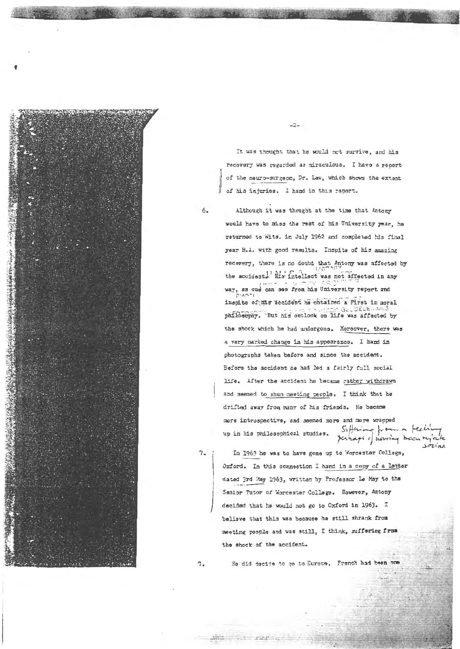

It was thought that he would not survive, and his recovery was regarded as miraculous. I have a recort of the neuro-surgeon, Dr. Law, which shows the extent of his injuries. I hand in this report.

 $-2-$ 

Although it was thought at the time that Antony would have to miss the rest of his University year. he returned to Wits. in July 1962 and completed his final year B.A. with good results. Inspite of his amazing recovery, there is no doubt that Antony was affected by the accident. His intellect was not affected in any way, as one can see from his University report and inspite of his accident he obtained a Pirst in moral phflosophy. But his outlook on life was affected by the shock which he had undergone. Moreover, there was a very marked change in his appearance. I hand in photographs taken before and since the accident. Before the accident he had led a fairly full social life. After the accident he became rather withdrawn and seemed to shun meeting people. I think that he drifted away from many of his friends. He became more introspective, and seemed more and more wrapped Suffering from a feeling up in his philosophical studies. perhaps of heroing been re

7.

 $6.$ 

In 1963 he was to have gone up to Worcester College, Oxford. In this connection I hand in a copy of a letter dated 3rd May 1963, written by Professor Le May to the Senior Tutor of Worcester Collage. However, Antony decided that he would not go to Oxford in 1963. I believe that this was because he still shrank from meeting people and was still, I think, suffering from the shock of the accident.

 $30$ 

 $\mathbf{3}_{-}$ 

He did decide to go to Europe. French had been one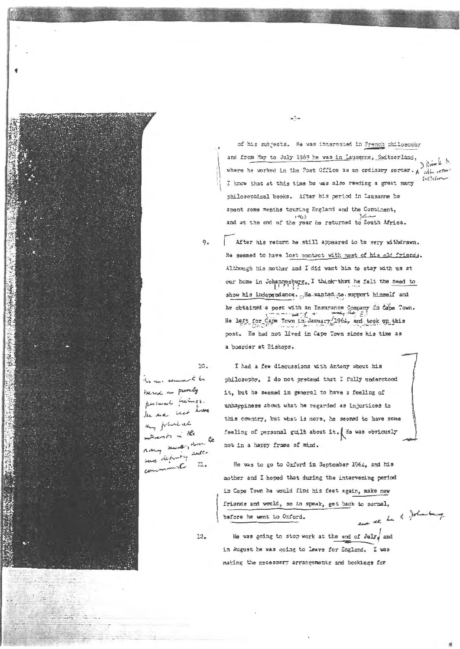of his subjects. He was interested in French philosophy and from May to July 1963 he was in Lausanne, Switzerland, where he worked in the Post Office as an ordinary sorter. A with with  $i$ I know that at this time he was also reading a great many philosophical books. After his period in Lausanne he spent some months touring England and the Continent, and at the end of the year he returned to South Africa.

 $-7 -$ 

After his return he still appeared to be very withdrawn. He seemed to have lost contact with most of his old friends. Although his mother and I did want him to stay with us at our home in Johannesburg, I think that he felt the need to show his independence. . He wanted to support himself and he obtained a post with an Insurance Company in Cape Town. He laft for Cape Town in January 1964, and took up this post. He had not lived in Cape Town since his time as a boarder at Bishops.

10.

 $9.$ 

to rue seeme to be besed in purely personal feelings. the me not have any fortunities Frank in the more; an le s detroity auto command  $11.$ 

I had a few discussions with Antony about his philosophy. I do not pretend that I fully understood it, but he seemed in general to have a feeling of unhappiness about what he regarded as injustices in this country, but what is more, he seemed to have some feeling of personal guilt about it. ( He was obviously not in a happy frame of mind.

He was to go to Oxford in September 1964, and his mother and I hoped that during the intervening period in Cape Town he would find his feet again, make new friends and would, so to speak, get back to normal, ever se ha h Johanna before he went to Oxford.

 $12.$ 

He was going to stop work at the end of July, and in August be was going to leave for England. I was making the necessary arrangements and bookings for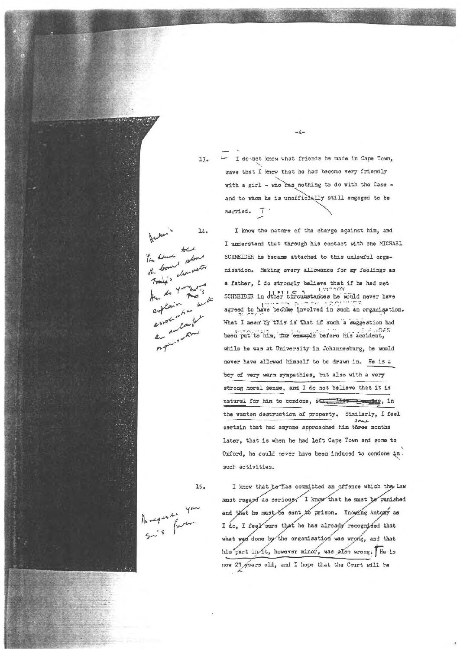$13.$ 

I do not know what friends he made in Cape Town, save that I know that he had become very friendly with a girl - who has nothing to do with the Case and to whom he is unofficially still engaged to be married. 7

 $-l =$ 

 $14.$ have toch the bomb about is cleaned

I know the nature of the charge against him, and I understand that through his contact with one MICRAEL SCHNEIDER he became attached to this unlawful orgamisation. Making every allowance for my feelings as a father, I do strongly believe that if he had met SCHREIDER in Juhar circumstances he would never have agreed to have become involved in such an organisation. What I mean by this is that if such a suggestion had been put to him, for example before his accident, while he was at University in Johannesburg, he would never have allowed himself to be drawn in. He is a boy of very warm sympathies, but also with a very strong moral sense, and I do not believe that it is natural for him to condone, star with management, in the wanton destruction of property. Similarly, I feel certain that had anyone approached him three months later, that is when he had left Cape Town and gone to Oxford, he could never have been induced to condone in) such activities.

 $15.$ 

 $16 - 4 - 4$ 

I know that be has committed an offence which the Law must regard as serious. I know that he must be punished and that he must to sent to prison. Knowing Antony as I do, I feel sure that he has already recognieed that what was done by the organisation was wrong, and that his part in it, however minor, was also wrong. He is now 23 gears old, and I hope that the Court will be